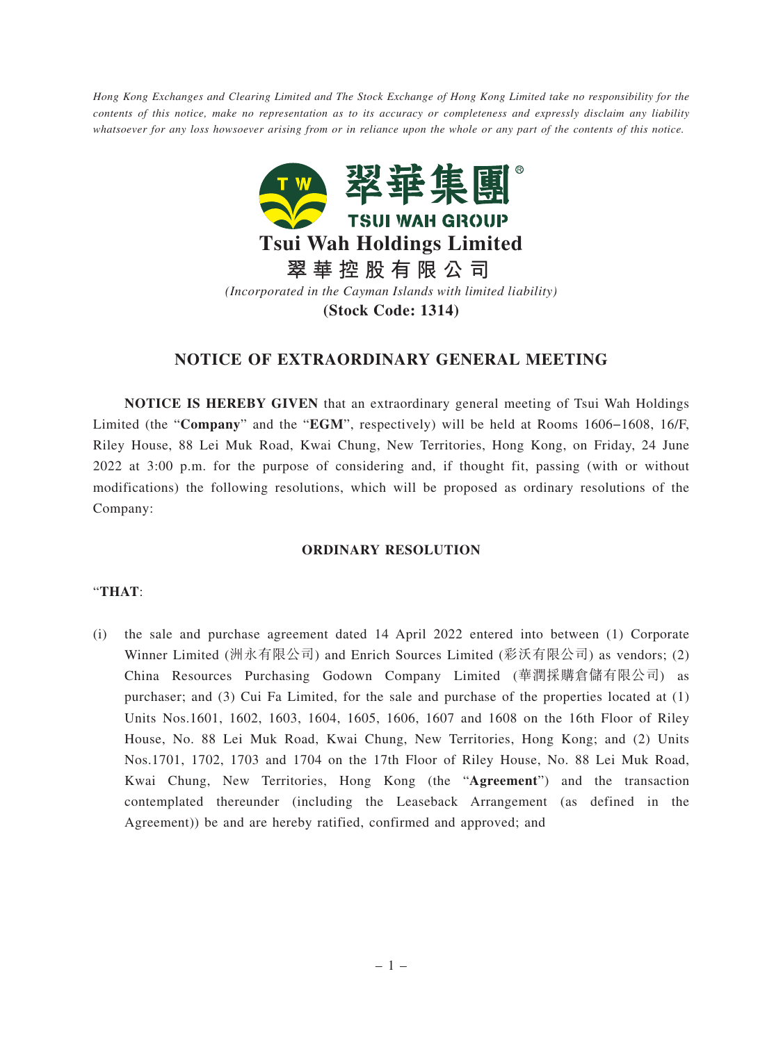*Hong Kong Exchanges and Clearing Limited and The Stock Exchange of Hong Kong Limited take no responsibility for the contents of this notice, make no representation as to its accuracy or completeness and expressly disclaim any liability whatsoever for any loss howsoever arising from or in reliance upon the whole or any part of the contents of this notice.*



# **NOTICE OF EXTRAORDINARY GENERAL MEETING**

**NOTICE IS HEREBY GIVEN** that an extraordinary general meeting of Tsui Wah Holdings Limited (the "**Company**" and the "**EGM**", respectively) will be held at Rooms 1606−1608, 16/F, Riley House, 88 Lei Muk Road, Kwai Chung, New Territories, Hong Kong, on Friday, 24 June 2022 at 3:00 p.m. for the purpose of considering and, if thought fit, passing (with or without modifications) the following resolutions, which will be proposed as ordinary resolutions of the Company:

#### **ORDINARY RESOLUTION**

### "**THAT**:

(i) the sale and purchase agreement dated 14 April 2022 entered into between (1) Corporate Winner Limited (洲永有限公司) and Enrich Sources Limited (彩沃有限公司) as vendors; (2) China Resources Purchasing Godown Company Limited (華潤採購倉儲有限公司) as purchaser; and (3) Cui Fa Limited, for the sale and purchase of the properties located at (1) Units Nos.1601, 1602, 1603, 1604, 1605, 1606, 1607 and 1608 on the 16th Floor of Riley House, No. 88 Lei Muk Road, Kwai Chung, New Territories, Hong Kong; and (2) Units Nos.1701, 1702, 1703 and 1704 on the 17th Floor of Riley House, No. 88 Lei Muk Road, Kwai Chung, New Territories, Hong Kong (the "**Agreement**") and the transaction contemplated thereunder (including the Leaseback Arrangement (as defined in the Agreement)) be and are hereby ratified, confirmed and approved; and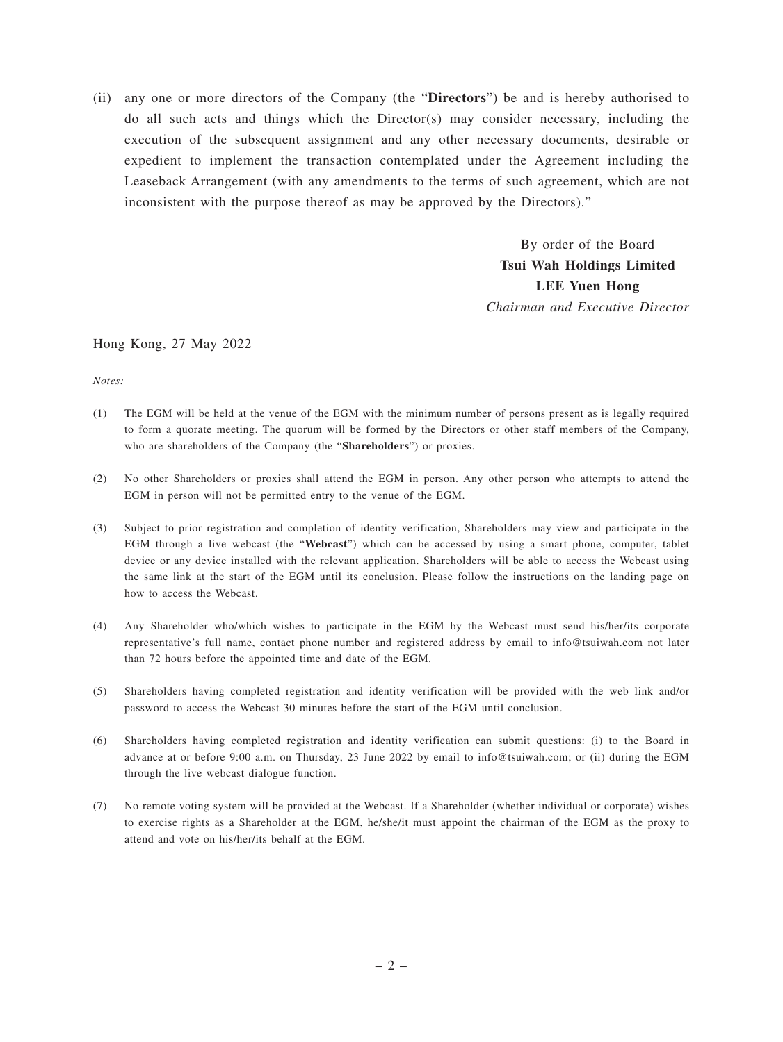(ii) any one or more directors of the Company (the "**Directors**") be and is hereby authorised to do all such acts and things which the Director(s) may consider necessary, including the execution of the subsequent assignment and any other necessary documents, desirable or expedient to implement the transaction contemplated under the Agreement including the Leaseback Arrangement (with any amendments to the terms of such agreement, which are not inconsistent with the purpose thereof as may be approved by the Directors)."

> By order of the Board **Tsui Wah Holdings Limited LEE Yuen Hong** *Chairman and Executive Director*

#### Hong Kong, 27 May 2022

*Notes:*

- (1) The EGM will be held at the venue of the EGM with the minimum number of persons present as is legally required to form a quorate meeting. The quorum will be formed by the Directors or other staff members of the Company, who are shareholders of the Company (the "**Shareholders**") or proxies.
- (2) No other Shareholders or proxies shall attend the EGM in person. Any other person who attempts to attend the EGM in person will not be permitted entry to the venue of the EGM.
- (3) Subject to prior registration and completion of identity verification, Shareholders may view and participate in the EGM through a live webcast (the "**Webcast**") which can be accessed by using a smart phone, computer, tablet device or any device installed with the relevant application. Shareholders will be able to access the Webcast using the same link at the start of the EGM until its conclusion. Please follow the instructions on the landing page on how to access the Webcast.
- (4) Any Shareholder who/which wishes to participate in the EGM by the Webcast must send his/her/its corporate representative's full name, contact phone number and registered address by email to info@tsuiwah.com not later than 72 hours before the appointed time and date of the EGM.
- (5) Shareholders having completed registration and identity verification will be provided with the web link and/or password to access the Webcast 30 minutes before the start of the EGM until conclusion.
- (6) Shareholders having completed registration and identity verification can submit questions: (i) to the Board in advance at or before 9:00 a.m. on Thursday, 23 June 2022 by email to info@tsuiwah.com; or (ii) during the EGM through the live webcast dialogue function.
- (7) No remote voting system will be provided at the Webcast. If a Shareholder (whether individual or corporate) wishes to exercise rights as a Shareholder at the EGM, he/she/it must appoint the chairman of the EGM as the proxy to attend and vote on his/her/its behalf at the EGM.